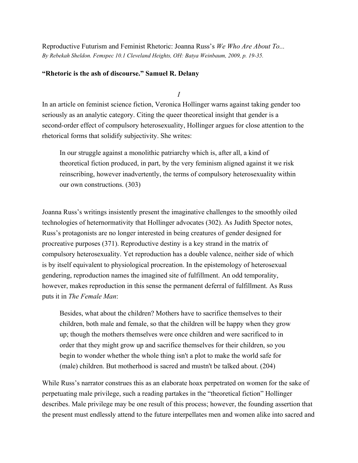Reproductive Futurism and Feminist Rhetoric: Joanna Russ's *We Who Are About To... By Rebekah Sheldon. Femspec 10.1 Cleveland Heights, OH: Batya Weinbaum, 2009, p. 19-35.*

## **"Rhetoric is the ash of discourse." Samuel R. Delany**

*I*

In an article on feminist science fiction, Veronica Hollinger warns against taking gender too seriously as an analytic category. Citing the queer theoretical insight that gender is a second-order effect of compulsory heterosexuality, Hollinger argues for close attention to the rhetorical forms that solidify subjectivity. She writes:

In our struggle against a monolithic patriarchy which is, after all, a kind of theoretical fiction produced, in part, by the very feminism aligned against it we risk reinscribing, however inadvertently, the terms of compulsory heterosexuality within our own constructions. (303)

Joanna Russ's writings insistently present the imaginative challenges to the smoothly oiled technologies of heternormativity that Hollinger advocates (302). As Judith Spector notes, Russ's protagonists are no longer interested in being creatures of gender designed for procreative purposes (371). Reproductive destiny is a key strand in the matrix of compulsory heterosexuality. Yet reproduction has a double valence, neither side of which is by itself equivalent to physiological procreation. In the epistemology of heterosexual gendering, reproduction names the imagined site of fulfillment. An odd temporality, however, makes reproduction in this sense the permanent deferral of fulfillment. As Russ puts it in *The Female Man*:

Besides, what about the children? Mothers have to sacrifice themselves to their children, both male and female, so that the children will be happy when they grow up; though the mothers themselves were once children and were sacrificed to in order that they might grow up and sacrifice themselves for their children, so you begin to wonder whether the whole thing isn't a plot to make the world safe for (male) children. But motherhood is sacred and mustn't be talked about. (204)

While Russ's narrator construes this as an elaborate hoax perpetrated on women for the sake of perpetuating male privilege, such a reading partakes in the "theoretical fiction" Hollinger describes. Male privilege may be one result of this process; however, the founding assertion that the present must endlessly attend to the future interpellates men and women alike into sacred and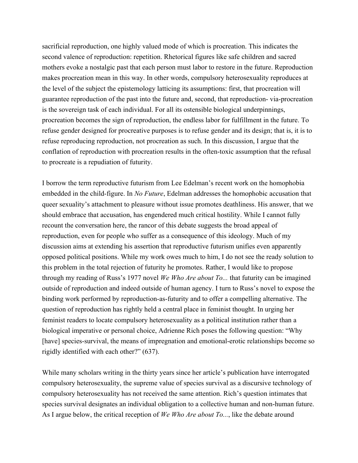sacrificial reproduction, one highly valued mode of which is procreation. This indicates the second valence of reproduction: repetition. Rhetorical figures like safe children and sacred mothers evoke a nostalgic past that each person must labor to restore in the future. Reproduction makes procreation mean in this way. In other words, compulsory heterosexuality reproduces at the level of the subject the epistemology latticing its assumptions: first, that procreation will guarantee reproduction of the past into the future and, second, that reproduction- via-procreation is the sovereign task of each individual. For all its ostensible biological underpinnings, procreation becomes the sign of reproduction, the endless labor for fulfillment in the future. To refuse gender designed for procreative purposes is to refuse gender and its design; that is, it is to refuse reproducing reproduction, not procreation as such. In this discussion, I argue that the conflation of reproduction with procreation results in the often-toxic assumption that the refusal to procreate is a repudiation of futurity.

I borrow the term reproductive futurism from Lee Edelman's recent work on the homophobia embedded in the child-figure. In *No Future*, Edelman addresses the homophobic accusation that queer sexuality's attachment to pleasure without issue promotes deathliness. His answer, that we should embrace that accusation, has engendered much critical hostility. While I cannot fully recount the conversation here, the rancor of this debate suggests the broad appeal of reproduction, even for people who suffer as a consequence of this ideology. Much of my discussion aims at extending his assertion that reproductive futurism unifies even apparently opposed political positions. While my work owes much to him, I do not see the ready solution to this problem in the total rejection of futurity he promotes. Rather, I would like to propose through my reading of Russ's 1977 novel *We Who Are about To...* that futurity can be imagined outside of reproduction and indeed outside of human agency. I turn to Russ's novel to expose the binding work performed by reproduction-as-futurity and to offer a compelling alternative. The question of reproduction has rightly held a central place in feminist thought. In urging her feminist readers to locate compulsory heterosexuality as a political institution rather than a biological imperative or personal choice, Adrienne Rich poses the following question: "Why [have] species-survival, the means of impregnation and emotional-erotic relationships become so rigidly identified with each other?" (637).

While many scholars writing in the thirty years since her article's publication have interrogated compulsory heterosexuality, the supreme value of species survival as a discursive technology of compulsory heterosexuality has not received the same attention. Rich's question intimates that species survival designates an individual obligation to a collective human and non-human future. As I argue below, the critical reception of *We Who Are about To...*, like the debate around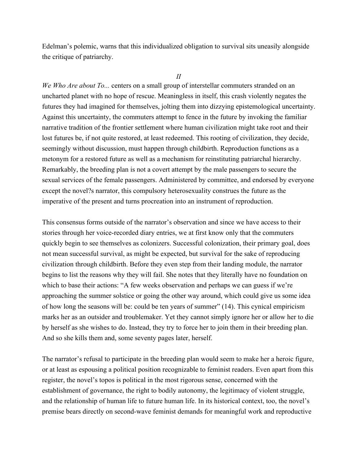Edelman's polemic, warns that this individualized obligation to survival sits uneasily alongside the critique of patriarchy.

## *II*

*We Who Are about To...* centers on a small group of interstellar commuters stranded on an uncharted planet with no hope of rescue. Meaningless in itself, this crash violently negates the futures they had imagined for themselves, jolting them into dizzying epistemological uncertainty. Against this uncertainty, the commuters attempt to fence in the future by invoking the familiar narrative tradition of the frontier settlement where human civilization might take root and their lost futures be, if not quite restored, at least redeemed. This rooting of civilization, they decide, seemingly without discussion, must happen through childbirth. Reproduction functions as a metonym for a restored future as well as a mechanism for reinstituting patriarchal hierarchy. Remarkably, the breeding plan is not a covert attempt by the male passengers to secure the sexual services of the female passengers. Administered by committee, and endorsed by everyone except the novel?s narrator, this compulsory heterosexuality construes the future as the imperative of the present and turns procreation into an instrument of reproduction.

This consensus forms outside of the narrator's observation and since we have access to their stories through her voice-recorded diary entries, we at first know only that the commuters quickly begin to see themselves as colonizers. Successful colonization, their primary goal, does not mean successful survival, as might be expected, but survival for the sake of reproducing civilization through childbirth. Before they even step from their landing module, the narrator begins to list the reasons why they will fail. She notes that they literally have no foundation on which to base their actions: "A few weeks observation and perhaps we can guess if we're approaching the summer solstice or going the other way around, which could give us some idea of how long the seasons will be: could be ten years of summer" (14). This cynical empiricism marks her as an outsider and troublemaker. Yet they cannot simply ignore her or allow her to die by herself as she wishes to do. Instead, they try to force her to join them in their breeding plan. And so she kills them and, some seventy pages later, herself.

The narrator's refusal to participate in the breeding plan would seem to make her a heroic figure, or at least as espousing a political position recognizable to feminist readers. Even apart from this register, the novel's topos is political in the most rigorous sense, concerned with the establishment of governance, the right to bodily autonomy, the legitimacy of violent struggle, and the relationship of human life to future human life. In its historical context, too, the novel's premise bears directly on second-wave feminist demands for meaningful work and reproductive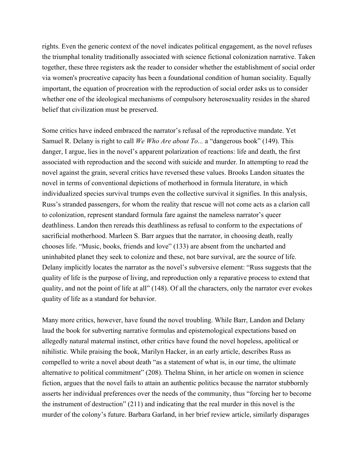rights. Even the generic context of the novel indicates political engagement, as the novel refuses the triumphal tonality traditionally associated with science fictional colonization narrative. Taken together, these three registers ask the reader to consider whether the establishment of social order via women's procreative capacity has been a foundational condition of human sociality. Equally important, the equation of procreation with the reproduction of social order asks us to consider whether one of the ideological mechanisms of compulsory heterosexuality resides in the shared belief that civilization must be preserved.

Some critics have indeed embraced the narrator's refusal of the reproductive mandate. Yet Samuel R. Delany is right to call *We Who Are about To...* a "dangerous book" (149). This danger, I argue, lies in the novel's apparent polarization of reactions: life and death, the first associated with reproduction and the second with suicide and murder. In attempting to read the novel against the grain, several critics have reversed these values. Brooks Landon situates the novel in terms of conventional depictions of motherhood in formula literature, in which individualized species survival trumps even the collective survival it signifies. In this analysis, Russ's stranded passengers, for whom the reality that rescue will not come acts as a clarion call to colonization, represent standard formula fare against the nameless narrator's queer deathliness. Landon then rereads this deathliness as refusal to conform to the expectations of sacrificial motherhood. Marleen S. Barr argues that the narrator, in choosing death, really chooses life. "Music, books, friends and love" (133) are absent from the uncharted and uninhabited planet they seek to colonize and these, not bare survival, are the source of life. Delany implicitly locates the narrator as the novel's subversive element: "Russ suggests that the quality of life is the purpose of living, and reproduction only a reparative process to extend that quality, and not the point of life at all" (148). Of all the characters, only the narrator ever evokes quality of life as a standard for behavior.

Many more critics, however, have found the novel troubling. While Barr, Landon and Delany laud the book for subverting narrative formulas and epistemological expectations based on allegedly natural maternal instinct, other critics have found the novel hopeless, apolitical or nihilistic. While praising the book, Marilyn Hacker, in an early article, describes Russ as compelled to write a novel about death "as a statement of what is, in our time, the ultimate alternative to political commitment" (208). Thelma Shinn, in her article on women in science fiction, argues that the novel fails to attain an authentic politics because the narrator stubbornly asserts her individual preferences over the needs of the community, thus "forcing her to become the instrument of destruction" (211) and indicating that the real murder in this novel is the murder of the colony's future. Barbara Garland, in her brief review article, similarly disparages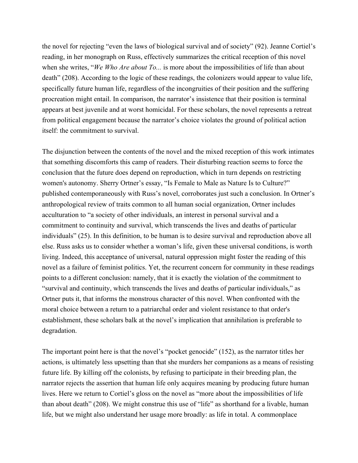the novel for rejecting "even the laws of biological survival and of society" (92). Jeanne Cortiel's reading, in her monograph on Russ, effectively summarizes the critical reception of this novel when she writes, "*We Who Are about To...* is more about the impossibilities of life than about death" (208). According to the logic of these readings, the colonizers would appear to value life, specifically future human life, regardless of the incongruities of their position and the suffering procreation might entail. In comparison, the narrator's insistence that their position is terminal appears at best juvenile and at worst homicidal. For these scholars, the novel represents a retreat from political engagement because the narrator's choice violates the ground of political action itself: the commitment to survival.

The disjunction between the contents of the novel and the mixed reception of this work intimates that something discomforts this camp of readers. Their disturbing reaction seems to force the conclusion that the future does depend on reproduction, which in turn depends on restricting women's autonomy. Sherry Ortner's essay, "Is Female to Male as Nature Is to Culture?" published contemporaneously with Russ's novel, corroborates just such a conclusion. In Ortner's anthropological review of traits common to all human social organization, Ortner includes acculturation to "a society of other individuals, an interest in personal survival and a commitment to continuity and survival, which transcends the lives and deaths of particular individuals" (25). In this definition, to be human is to desire survival and reproduction above all else. Russ asks us to consider whether a woman's life, given these universal conditions, is worth living. Indeed, this acceptance of universal, natural oppression might foster the reading of this novel as a failure of feminist politics. Yet, the recurrent concern for community in these readings points to a different conclusion: namely, that it is exactly the violation of the commitment to "survival and continuity, which transcends the lives and deaths of particular individuals," as Ortner puts it, that informs the monstrous character of this novel. When confronted with the moral choice between a return to a patriarchal order and violent resistance to that order's establishment, these scholars balk at the novel's implication that annihilation is preferable to degradation.

The important point here is that the novel's "pocket genocide" (152), as the narrator titles her actions, is ultimately less upsetting than that she murders her companions as a means of resisting future life. By killing off the colonists, by refusing to participate in their breeding plan, the narrator rejects the assertion that human life only acquires meaning by producing future human lives. Here we return to Cortiel's gloss on the novel as "more about the impossibilities of life than about death" (208). We might construe this use of "life" as shorthand for a livable, human life, but we might also understand her usage more broadly: as life in total. A commonplace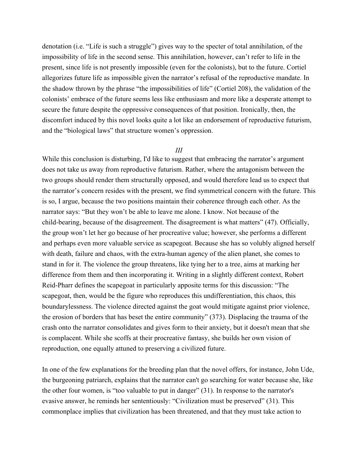denotation (i.e. "Life is such a struggle") gives way to the specter of total annihilation, of the impossibility of life in the second sense. This annihilation, however, can't refer to life in the present, since life is not presently impossible (even for the colonists), but to the future. Cortiel allegorizes future life as impossible given the narrator's refusal of the reproductive mandate. In the shadow thrown by the phrase "the impossibilities of life" (Cortiel 208), the validation of the colonists' embrace of the future seems less like enthusiasm and more like a desperate attempt to secure the future despite the oppressive consequences of that position. Ironically, then, the discomfort induced by this novel looks quite a lot like an endorsement of reproductive futurism, and the "biological laws" that structure women's oppression.

## *III*

While this conclusion is disturbing, I'd like to suggest that embracing the narrator's argument does not take us away from reproductive futurism. Rather, where the antagonism between the two groups should render them structurally opposed, and would therefore lead us to expect that the narrator's concern resides with the present, we find symmetrical concern with the future. This is so, I argue, because the two positions maintain their coherence through each other. As the narrator says: "But they won't be able to leave me alone. I know. Not because of the child-bearing, because of the disagreement. The disagreement is what matters" (47). Officially, the group won't let her go because of her procreative value; however, she performs a different and perhaps even more valuable service as scapegoat. Because she has so volubly aligned herself with death, failure and chaos, with the extra-human agency of the alien planet, she comes to stand in for it. The violence the group threatens, like tying her to a tree, aims at marking her difference from them and then incorporating it. Writing in a slightly different context, Robert Reid-Pharr defines the scapegoat in particularly apposite terms for this discussion: "The scapegoat, then, would be the figure who reproduces this undifferentiation, this chaos, this boundarylessness. The violence directed against the goat would mitigate against prior violence, the erosion of borders that has beset the entire community" (373). Displacing the trauma of the crash onto the narrator consolidates and gives form to their anxiety, but it doesn't mean that she is complacent. While she scoffs at their procreative fantasy, she builds her own vision of reproduction, one equally attuned to preserving a civilized future.

In one of the few explanations for the breeding plan that the novel offers, for instance, John Ude, the burgeoning patriarch, explains that the narrator can't go searching for water because she, like the other four women, is "too valuable to put in danger" (31). In response to the narrator's evasive answer, he reminds her sententiously: "Civilization must be preserved" (31). This commonplace implies that civilization has been threatened, and that they must take action to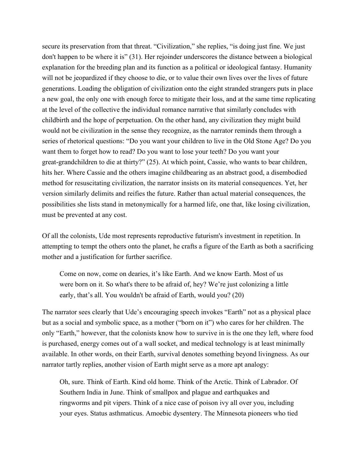secure its preservation from that threat. "Civilization," she replies, "is doing just fine. We just don't happen to be where it is" (31). Her rejoinder underscores the distance between a biological explanation for the breeding plan and its function as a political or ideological fantasy. Humanity will not be jeopardized if they choose to die, or to value their own lives over the lives of future generations. Loading the obligation of civilization onto the eight stranded strangers puts in place a new goal, the only one with enough force to mitigate their loss, and at the same time replicating at the level of the collective the individual romance narrative that similarly concludes with childbirth and the hope of perpetuation. On the other hand, any civilization they might build would not be civilization in the sense they recognize, as the narrator reminds them through a series of rhetorical questions: "Do you want your children to live in the Old Stone Age? Do you want them to forget how to read? Do you want to lose your teeth? Do you want your great-grandchildren to die at thirty?" (25). At which point, Cassie, who wants to bear children, hits her. Where Cassie and the others imagine childbearing as an abstract good, a disembodied method for resuscitating civilization, the narrator insists on its material consequences. Yet, her version similarly delimits and reifies the future. Rather than actual material consequences, the possibilities she lists stand in metonymically for a harmed life, one that, like losing civilization, must be prevented at any cost.

Of all the colonists, Ude most represents reproductive futurism's investment in repetition. In attempting to tempt the others onto the planet, he crafts a figure of the Earth as both a sacrificing mother and a justification for further sacrifice.

Come on now, come on dearies, it's like Earth. And we know Earth. Most of us were born on it. So what's there to be afraid of, hey? We're just colonizing a little early, that's all. You wouldn't be afraid of Earth, would you? (20)

The narrator sees clearly that Ude's encouraging speech invokes "Earth" not as a physical place but as a social and symbolic space, as a mother ("born on it") who cares for her children. The only "Earth," however, that the colonists know how to survive in is the one they left, where food is purchased, energy comes out of a wall socket, and medical technology is at least minimally available. In other words, on their Earth, survival denotes something beyond livingness. As our narrator tartly replies, another vision of Earth might serve as a more apt analogy:

Oh, sure. Think of Earth. Kind old home. Think of the Arctic. Think of Labrador. Of Southern India in June. Think of smallpox and plague and earthquakes and ringworms and pit vipers. Think of a nice case of poison ivy all over you, including your eyes. Status asthmaticus. Amoebic dysentery. The Minnesota pioneers who tied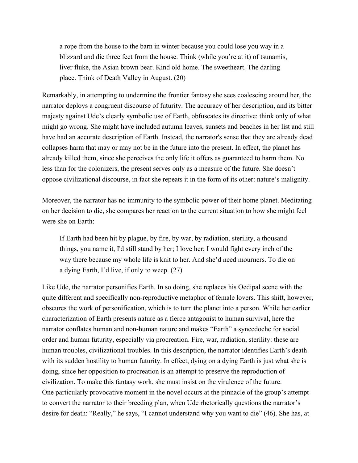a rope from the house to the barn in winter because you could lose you way in a blizzard and die three feet from the house. Think (while you're at it) of tsunamis, liver fluke, the Asian brown bear. Kind old home. The sweetheart. The darling place. Think of Death Valley in August. (20)

Remarkably, in attempting to undermine the frontier fantasy she sees coalescing around her, the narrator deploys a congruent discourse of futurity. The accuracy of her description, and its bitter majesty against Ude's clearly symbolic use of Earth, obfuscates its directive: think only of what might go wrong. She might have included autumn leaves, sunsets and beaches in her list and still have had an accurate description of Earth. Instead, the narrator's sense that they are already dead collapses harm that may or may not be in the future into the present. In effect, the planet has already killed them, since she perceives the only life it offers as guaranteed to harm them. No less than for the colonizers, the present serves only as a measure of the future. She doesn't oppose civilizational discourse, in fact she repeats it in the form of its other: nature's malignity.

Moreover, the narrator has no immunity to the symbolic power of their home planet. Meditating on her decision to die, she compares her reaction to the current situation to how she might feel were she on Earth:

If Earth had been hit by plague, by fire, by war, by radiation, sterility, a thousand things, you name it, I'd still stand by her; I love her; I would fight every inch of the way there because my whole life is knit to her. And she'd need mourners. To die on a dying Earth, I'd live, if only to weep. (27)

Like Ude, the narrator personifies Earth. In so doing, she replaces his Oedipal scene with the quite different and specifically non-reproductive metaphor of female lovers. This shift, however, obscures the work of personification, which is to turn the planet into a person. While her earlier characterization of Earth presents nature as a fierce antagonist to human survival, here the narrator conflates human and non-human nature and makes "Earth" a synecdoche for social order and human futurity, especially via procreation. Fire, war, radiation, sterility: these are human troubles, civilizational troubles. In this description, the narrator identifies Earth's death with its sudden hostility to human futurity. In effect, dying on a dying Earth is just what she is doing, since her opposition to procreation is an attempt to preserve the reproduction of civilization. To make this fantasy work, she must insist on the virulence of the future. One particularly provocative moment in the novel occurs at the pinnacle of the group's attempt to convert the narrator to their breeding plan, when Ude rhetorically questions the narrator's desire for death: "Really," he says, "I cannot understand why you want to die" (46). She has, at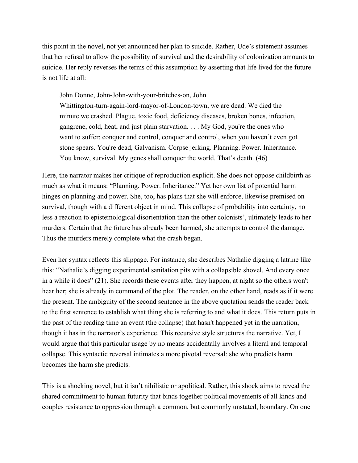this point in the novel, not yet announced her plan to suicide. Rather, Ude's statement assumes that her refusal to allow the possibility of survival and the desirability of colonization amounts to suicide. Her reply reverses the terms of this assumption by asserting that life lived for the future is not life at all:

John Donne, John-John-with-your-britches-on, John Whittington-turn-again-lord-mayor-of-London-town, we are dead. We died the minute we crashed. Plague, toxic food, deficiency diseases, broken bones, infection, gangrene, cold, heat, and just plain starvation. . . . My God, you're the ones who want to suffer: conquer and control, conquer and control, when you haven't even got stone spears. You're dead, Galvanism. Corpse jerking. Planning. Power. Inheritance. You know, survival. My genes shall conquer the world. That's death. (46)

Here, the narrator makes her critique of reproduction explicit. She does not oppose childbirth as much as what it means: "Planning. Power. Inheritance." Yet her own list of potential harm hinges on planning and power. She, too, has plans that she will enforce, likewise premised on survival, though with a different object in mind. This collapse of probability into certainty, no less a reaction to epistemological disorientation than the other colonists', ultimately leads to her murders. Certain that the future has already been harmed, she attempts to control the damage. Thus the murders merely complete what the crash began.

Even her syntax reflects this slippage. For instance, she describes Nathalie digging a latrine like this: "Nathalie's digging experimental sanitation pits with a collapsible shovel. And every once in a while it does" (21). She records these events after they happen, at night so the others won't hear her; she is already in command of the plot. The reader, on the other hand, reads as if it were the present. The ambiguity of the second sentence in the above quotation sends the reader back to the first sentence to establish what thing she is referring to and what it does. This return puts in the past of the reading time an event (the collapse) that hasn't happened yet in the narration, though it has in the narrator's experience. This recursive style structures the narrative. Yet, I would argue that this particular usage by no means accidentally involves a literal and temporal collapse. This syntactic reversal intimates a more pivotal reversal: she who predicts harm becomes the harm she predicts.

This is a shocking novel, but it isn't nihilistic or apolitical. Rather, this shock aims to reveal the shared commitment to human futurity that binds together political movements of all kinds and couples resistance to oppression through a common, but commonly unstated, boundary. On one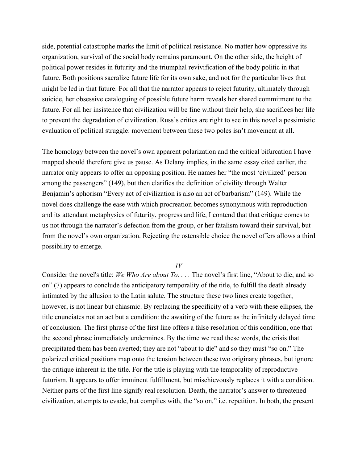side, potential catastrophe marks the limit of political resistance. No matter how oppressive its organization, survival of the social body remains paramount. On the other side, the height of political power resides in futurity and the triumphal revivification of the body politic in that future. Both positions sacralize future life for its own sake, and not for the particular lives that might be led in that future. For all that the narrator appears to reject futurity, ultimately through suicide, her obsessive cataloguing of possible future harm reveals her shared commitment to the future. For all her insistence that civilization will be fine without their help, she sacrifices her life to prevent the degradation of civilization. Russ's critics are right to see in this novel a pessimistic evaluation of political struggle: movement between these two poles isn't movement at all.

The homology between the novel's own apparent polarization and the critical bifurcation I have mapped should therefore give us pause. As Delany implies, in the same essay cited earlier, the narrator only appears to offer an opposing position. He names her "the most 'civilized' person among the passengers" (149), but then clarifies the definition of civility through Walter Benjamin's aphorism "Every act of civilization is also an act of barbarism" (149). While the novel does challenge the ease with which procreation becomes synonymous with reproduction and its attendant metaphysics of futurity, progress and life, I contend that that critique comes to us not through the narrator's defection from the group, or her fatalism toward their survival, but from the novel's own organization. Rejecting the ostensible choice the novel offers allows a third possibility to emerge.

#### *IV*

Consider the novel's title: *We Who Are about To. . . .* The novel's first line, "About to die, and so on" (7) appears to conclude the anticipatory temporality of the title, to fulfill the death already intimated by the allusion to the Latin salute. The structure these two lines create together, however, is not linear but chiasmic. By replacing the specificity of a verb with these ellipses, the title enunciates not an act but a condition: the awaiting of the future as the infinitely delayed time of conclusion. The first phrase of the first line offers a false resolution of this condition, one that the second phrase immediately undermines. By the time we read these words, the crisis that precipitated them has been averted; they are not "about to die" and so they must "so on." The polarized critical positions map onto the tension between these two originary phrases, but ignore the critique inherent in the title. For the title is playing with the temporality of reproductive futurism. It appears to offer imminent fulfillment, but mischievously replaces it with a condition. Neither parts of the first line signify real resolution. Death, the narrator's answer to threatened civilization, attempts to evade, but complies with, the "so on," i.e. repetition. In both, the present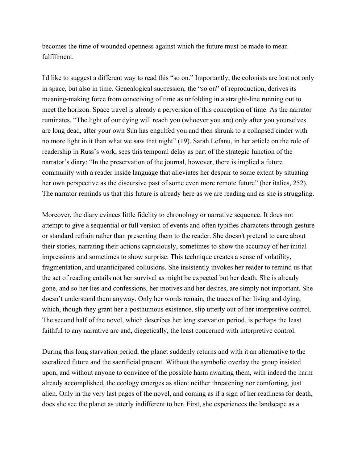becomes the time of wounded openness against which the future must be made to mean fulfillment.

I'd like to suggest a different way to read this "so on." Importantly, the colonists are lost not only in space, but also in time. Genealogical succession, the "so on" of reproduction, derives its meaning-making force from conceiving of time as unfolding in a straight-line running out to meet the horizon. Space travel is already a perversion of this conception of time. As the narrator ruminates, "The light of our dying will reach you (whoever you are) only after you yourselves are long dead, after your own Sun has engulfed you and then shrunk to a collapsed cinder with no more light in it than what we saw that night" (19). Sarah Lefanu, in her article on the role of readership in Russ's work, sees this temporal delay as part of the strategic function of the narrator's diary: "In the preservation of the journal, however, there is implied a future community with a reader inside language that alleviates her despair to some extent by situating her own perspective as the discursive past of some even more remote future" (her italics, 252). The narrator reminds us that this future is already here as we are reading and as she is struggling.

Moreover, the diary evinces little fidelity to chronology or narrative sequence. It does not attempt to give a sequential or full version of events and often typifies characters through gesture or standard refrain rather than presenting them to the reader. She doesn't pretend to care about their stories, narrating their actions capriciously, sometimes to show the accuracy of her initial impressions and sometimes to show surprise. This technique creates a sense of volatility, fragmentation, and unanticipated collusions. She insistently invokes her reader to remind us that the act of reading entails not her survival as might be expected but her death. She is already gone, and so her lies and confessions, her motives and her desires, are simply not important. She doesn't understand them anyway. Only her words remain, the traces of her living and dying, which, though they grant her a posthumous existence, slip utterly out of her interpretive control. The second half of the novel, which describes her long starvation period, is perhaps the least faithful to any narrative arc and, diegetically, the least concerned with interpretive control.

During this long starvation period, the planet suddenly returns and with it an alternative to the sacralized future and the sacrificial present. Without the symbolic overlay the group insisted upon, and without anyone to convince of the possible harm awaiting them, with indeed the harm already accomplished, the ecology emerges as alien: neither threatening nor comforting, just alien. Only in the very last pages of the novel, and coming as if a sign of her readiness for death, does she see the planet as utterly indifferent to her. First, she experiences the landscape as a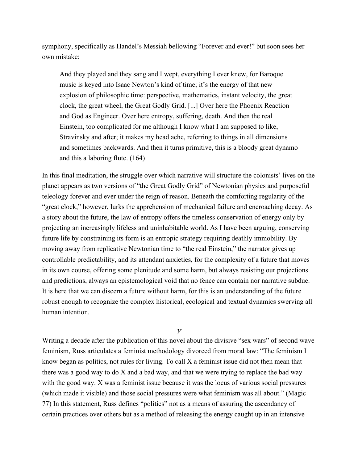symphony, specifically as Handel's Messiah bellowing "Forever and ever!" but soon sees her own mistake:

And they played and they sang and I wept, everything I ever knew, for Baroque music is keyed into Isaac Newton's kind of time; it's the energy of that new explosion of philosophic time: perspective, mathematics, instant velocity, the great clock, the great wheel, the Great Godly Grid. [...] Over here the Phoenix Reaction and God as Engineer. Over here entropy, suffering, death. And then the real Einstein, too complicated for me although I know what I am supposed to like, Stravinsky and after; it makes my head ache, referring to things in all dimensions and sometimes backwards. And then it turns primitive, this is a bloody great dynamo and this a laboring flute. (164)

In this final meditation, the struggle over which narrative will structure the colonists' lives on the planet appears as two versions of "the Great Godly Grid" of Newtonian physics and purposeful teleology forever and ever under the reign of reason. Beneath the comforting regularity of the "great clock," however, lurks the apprehension of mechanical failure and encroaching decay. As a story about the future, the law of entropy offers the timeless conservation of energy only by projecting an increasingly lifeless and uninhabitable world. As I have been arguing, conserving future life by constraining its form is an entropic strategy requiring deathly immobility. By moving away from replicative Newtonian time to "the real Einstein," the narrator gives up controllable predictability, and its attendant anxieties, for the complexity of a future that moves in its own course, offering some plenitude and some harm, but always resisting our projections and predictions, always an epistemological void that no fence can contain nor narrative subdue. It is here that we can discern a future without harm, for this is an understanding of the future robust enough to recognize the complex historical, ecological and textual dynamics swerving all human intention.

*V*

Writing a decade after the publication of this novel about the divisive "sex wars" of second wave feminism, Russ articulates a feminist methodology divorced from moral law: "The feminism I know began as politics, not rules for living. To call X a feminist issue did not then mean that there was a good way to do X and a bad way, and that we were trying to replace the bad way with the good way. X was a feminist issue because it was the locus of various social pressures (which made it visible) and those social pressures were what feminism was all about." (Magic 77) In this statement, Russ defines "politics" not as a means of assuring the ascendancy of certain practices over others but as a method of releasing the energy caught up in an intensive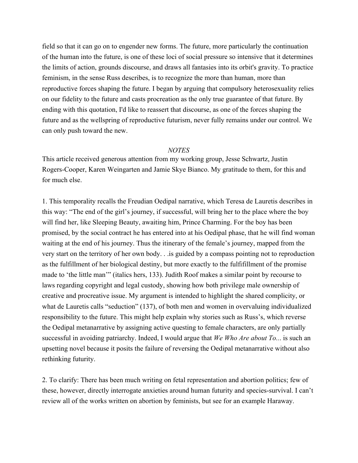field so that it can go on to engender new forms. The future, more particularly the continuation of the human into the future, is one of these loci of social pressure so intensive that it determines the limits of action, grounds discourse, and draws all fantasies into its orbit's gravity. To practice feminism, in the sense Russ describes, is to recognize the more than human, more than reproductive forces shaping the future. I began by arguing that compulsory heterosexuality relies on our fidelity to the future and casts procreation as the only true guarantee of that future. By ending with this quotation, I'd like to reassert that discourse, as one of the forces shaping the future and as the wellspring of reproductive futurism, never fully remains under our control. We can only push toward the new.

## *NOTES*

This article received generous attention from my working group, Jesse Schwartz, Justin Rogers-Cooper, Karen Weingarten and Jamie Skye Bianco. My gratitude to them, for this and for much else.

1. This temporality recalls the Freudian Oedipal narrative, which Teresa de Lauretis describes in this way: "The end of the girl's journey, if successful, will bring her to the place where the boy will find her, like Sleeping Beauty, awaiting him, Prince Charming. For the boy has been promised, by the social contract he has entered into at his Oedipal phase, that he will find woman waiting at the end of his journey. Thus the itinerary of the female's journey, mapped from the very start on the territory of her own body. . .is guided by a compass pointing not to reproduction as the fulfillment of her biological destiny, but more exactly to the fulfifillment of the promise made to 'the little man'" (italics hers, 133). Judith Roof makes a similar point by recourse to laws regarding copyright and legal custody, showing how both privilege male ownership of creative and procreative issue. My argument is intended to highlight the shared complicity, or what de Lauretis calls "seduction" (137), of both men and women in overvaluing individualized responsibility to the future. This might help explain why stories such as Russ's, which reverse the Oedipal metanarrative by assigning active questing to female characters, are only partially successful in avoiding patriarchy. Indeed, I would argue that *We Who Are about To..*. is such an upsetting novel because it posits the failure of reversing the Oedipal metanarrative without also rethinking futurity.

2. To clarify: There has been much writing on fetal representation and abortion politics; few of these, however, directly interrogate anxieties around human futurity and species-survival. I can't review all of the works written on abortion by feminists, but see for an example Haraway.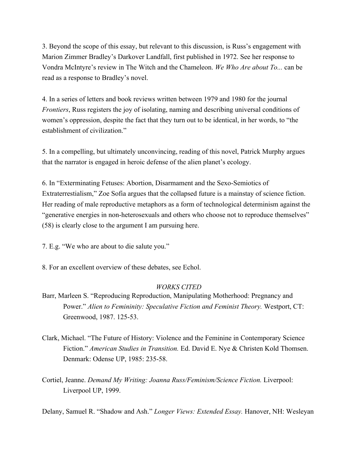3. Beyond the scope of this essay, but relevant to this discussion, is Russ's engagement with Marion Zimmer Bradley's Darkover Landfall, first published in 1972. See her response to Vondra McIntyre's review in The Witch and the Chameleon. *We Who Are about To...* can be read as a response to Bradley's novel.

4. In a series of letters and book reviews written between 1979 and 1980 for the journal *Frontiers*, Russ registers the joy of isolating, naming and describing universal conditions of women's oppression, despite the fact that they turn out to be identical, in her words, to "the establishment of civilization."

5. In a compelling, but ultimately unconvincing, reading of this novel, Patrick Murphy argues that the narrator is engaged in heroic defense of the alien planet's ecology.

6. In "Exterminating Fetuses: Abortion, Disarmament and the Sexo-Semiotics of Extraterrestialism," Zoe Sofia argues that the collapsed future is a mainstay of science fiction. Her reading of male reproductive metaphors as a form of technological determinism against the "generative energies in non-heterosexuals and others who choose not to reproduce themselves" (58) is clearly close to the argument I am pursuing here.

7. E.g. "We who are about to die salute you."

8. For an excellent overview of these debates, see Echol.

# *WORKS CITED*

- Barr, Marleen S. "Reproducing Reproduction, Manipulating Motherhood: Pregnancy and Power." *Alien to Femininity: Speculative Fiction and Feminist Theory.* Westport, CT: Greenwood, 1987. 125-53.
- Clark, Michael. "The Future of History: Violence and the Feminine in Contemporary Science Fiction." *American Studies in Transition.* Ed. David E. Nye & Christen Kold Thomsen. Denmark: Odense UP, 1985: 235-58.
- Cortiel, Jeanne. *Demand My Writing: Joanna Russ/Feminism/Science Fiction.* Liverpool: Liverpool UP, 1999.

Delany, Samuel R. "Shadow and Ash." *Longer Views: Extended Essay.* Hanover, NH: Wesleyan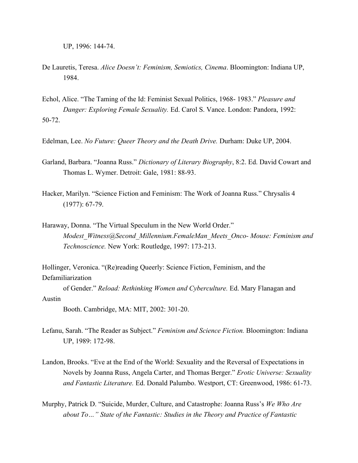- De Lauretis, Teresa. *Alice Doesn't: Feminism, Semiotics, Cinema*. Bloomington: Indiana UP, 1984.
- Echol, Alice. "The Taming of the Id: Feminist Sexual Politics, 1968- 1983." *Pleasure and Danger: Exploring Female Sexuality.* Ed. Carol S. Vance. London: Pandora, 1992: 50-72.
- Edelman, Lee. *No Future: Queer Theory and the Death Drive.* Durham: Duke UP, 2004.
- Garland, Barbara. "Joanna Russ." *Dictionary of Literary Biography*, 8:2. Ed. David Cowart and Thomas L. Wymer. Detroit: Gale, 1981: 88-93.
- Hacker, Marilyn. "Science Fiction and Feminism: The Work of Joanna Russ." Chrysalis 4 (1977): 67-79.
- Haraway, Donna. "The Virtual Speculum in the New World Order." *Modest\_Witness@Second\_Millennium.FemaleMan\_Meets\_Onco- Mouse: Feminism and Technoscience.* New York: Routledge, 1997: 173-213.

Hollinger, Veronica. "(Re)reading Queerly: Science Fiction, Feminism, and the Defamiliarization

of Gender." *Reload: Rethinking Women and Cyberculture.* Ed. Mary Flanagan and Austin

Booth. Cambridge, MA: MIT, 2002: 301-20.

- Lefanu, Sarah. "The Reader as Subject." *Feminism and Science Fiction.* Bloomington: Indiana UP, 1989: 172-98.
- Landon, Brooks. "Eve at the End of the World: Sexuality and the Reversal of Expectations in Novels by Joanna Russ, Angela Carter, and Thomas Berger." *Erotic Universe: Sexuality and Fantastic Literature.* Ed. Donald Palumbo. Westport, CT: Greenwood, 1986: 61-73.
- Murphy, Patrick D. "Suicide, Murder, Culture, and Catastrophe: Joanna Russ's *We Who Are about To…" State of the Fantastic: Studies in the Theory and Practice of Fantastic*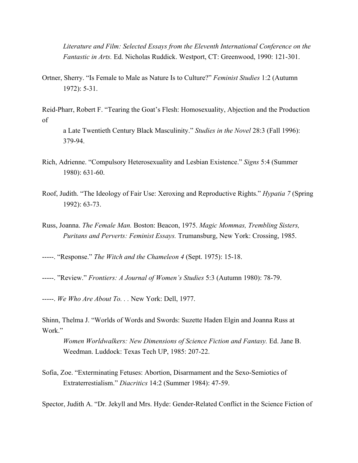*Literature and Film: Selected Essays from the Eleventh International Conference on the Fantastic in Arts.* Ed. Nicholas Ruddick. Westport, CT: Greenwood, 1990: 121-301.

Ortner, Sherry. "Is Female to Male as Nature Is to Culture?" *Feminist Studies* 1:2 (Autumn 1972): 5-31.

Reid-Pharr, Robert F. "Tearing the Goat's Flesh: Homosexuality, Abjection and the Production of a Late Twentieth Century Black Masculinity." *Studies in the Novel* 28:3 (Fall 1996):

379-94.

- Rich, Adrienne. "Compulsory Heterosexuality and Lesbian Existence." *Signs* 5:4 (Summer 1980): 631-60.
- Roof, Judith. "The Ideology of Fair Use: Xeroxing and Reproductive Rights." *Hypatia 7* (Spring 1992): 63-73.
- Russ, Joanna. *The Female Man.* Boston: Beacon, 1975. *Magic Mommas, Trembling Sisters, Puritans and Perverts: Feminist Essays.* Trumansburg, New York: Crossing, 1985.

-----. "Response." *The Witch and the Chameleon 4* (Sept. 1975): 15-18.

-----. "Review." *Frontiers: A Journal of Women's Studies* 5:3 (Autumn 1980): 78-79.

-----. *We Who Are About To. . .* New York: Dell, 1977.

Shinn, Thelma J. "Worlds of Words and Swords: Suzette Haden Elgin and Joanna Russ at Work."

*Women Worldwalkers: New Dimensions of Science Fiction and Fantasy.* Ed. Jane B. Weedman. Luddock: Texas Tech UP, 1985: 207-22.

Sofia, Zoe. "Exterminating Fetuses: Abortion, Disarmament and the Sexo-Semiotics of Extraterrestialism." *Diacritics* 14:2 (Summer 1984): 47-59.

Spector, Judith A. "Dr. Jekyll and Mrs. Hyde: Gender-Related Conflict in the Science Fiction of